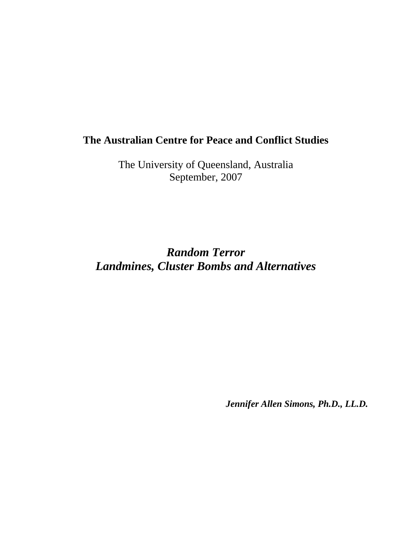# **The Australian Centre for Peace and Conflict Studies**

The University of Queensland, Australia September, 2007

*Random Terror Landmines, Cluster Bombs and Alternatives* 

*Jennifer Allen Simons, Ph.D., LL.D.*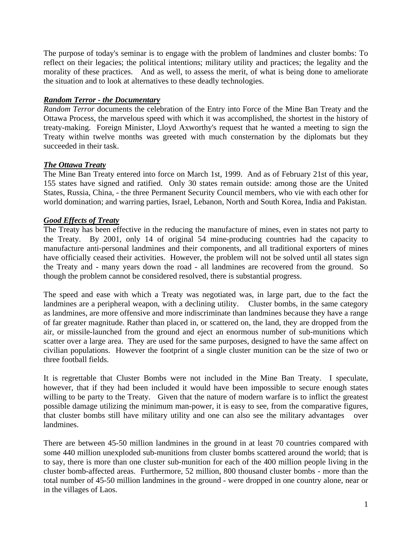The purpose of today's seminar is to engage with the problem of landmines and cluster bombs: To reflect on their legacies; the political intentions; military utility and practices; the legality and the morality of these practices. And as well, to assess the merit, of what is being done to ameliorate the situation and to look at alternatives to these deadly technologies.

### *Random Terror - the Documentary*

*Random Terror* documents the celebration of the Entry into Force of the Mine Ban Treaty and the Ottawa Process, the marvelous speed with which it was accomplished, the shortest in the history of treaty-making. Foreign Minister, Lloyd Axworthy's request that he wanted a meeting to sign the Treaty within twelve months was greeted with much consternation by the diplomats but they succeeded in their task.

### *The Ottawa Treaty*

The Mine Ban Treaty entered into force on March 1st, 1999. And as of February 21st of this year, 155 states have signed and ratified. Only 30 states remain outside: among those are the United States, Russia, China, - the three Permanent Security Council members, who vie with each other for world domination; and warring parties, Israel, Lebanon, North and South Korea, India and Pakistan.

### *Good Effects of Treaty*

The Treaty has been effective in the reducing the manufacture of mines, even in states not party to the Treaty. By 2001, only 14 of original 54 mine-producing countries had the capacity to manufacture anti-personal landmines and their components, and all traditional exporters of mines have officially ceased their activities. However, the problem will not be solved until all states sign the Treaty and - many years down the road - all landmines are recovered from the ground. So though the problem cannot be considered resolved, there is substantial progress.

The speed and ease with which a Treaty was negotiated was, in large part, due to the fact the landmines are a peripheral weapon, with a declining utility. Cluster bombs, in the same category as landmines, are more offensive and more indiscriminate than landmines because they have a range of far greater magnitude. Rather than placed in, or scattered on, the land, they are dropped from the air, or missile-launched from the ground and eject an enormous number of sub-munitions which scatter over a large area. They are used for the same purposes, designed to have the same affect on civilian populations. However the footprint of a single cluster munition can be the size of two or three football fields.

It is regrettable that Cluster Bombs were not included in the Mine Ban Treaty. I speculate, however, that if they had been included it would have been impossible to secure enough states willing to be party to the Treaty. Given that the nature of modern warfare is to inflict the greatest possible damage utilizing the minimum man-power, it is easy to see, from the comparative figures, that cluster bombs still have military utility and one can also see the military advantages over landmines.

There are between 45-50 million landmines in the ground in at least 70 countries compared with some 440 million unexploded sub-munitions from cluster bombs scattered around the world; that is to say, there is more than one cluster sub-munition for each of the 400 million people living in the cluster bomb-affected areas. Furthermore, 52 million, 800 thousand cluster bombs - more than the total number of 45-50 million landmines in the ground - were dropped in one country alone, near or in the villages of Laos.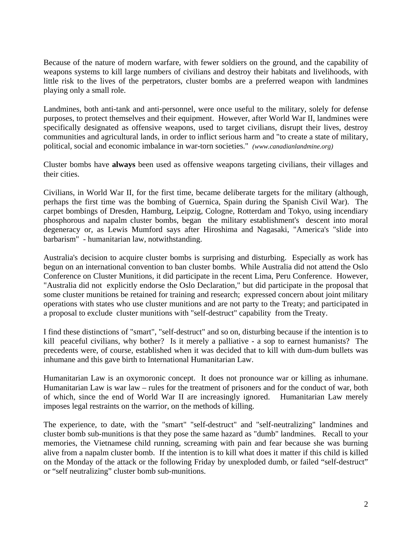Because of the nature of modern warfare, with fewer soldiers on the ground, and the capability of weapons systems to kill large numbers of civilians and destroy their habitats and livelihoods, with little risk to the lives of the perpetrators, cluster bombs are a preferred weapon with landmines playing only a small role.

Landmines, both anti-tank and anti-personnel, were once useful to the military, solely for defense purposes, to protect themselves and their equipment. However, after World War II, landmines were specifically designated as offensive weapons, used to target civilians, disrupt their lives, destroy communities and agricultural lands, in order to inflict serious harm and "to create a state of military, political, social and economic imbalance in war-torn societies." *(www.canadianlandmine.org)* 

Cluster bombs have **always** been used as offensive weapons targeting civilians, their villages and their cities.

Civilians, in World War II, for the first time, became deliberate targets for the military (although, perhaps the first time was the bombing of Guernica, Spain during the Spanish Civil War). The carpet bombings of Dresden, Hamburg, Leipzig, Cologne, Rotterdam and Tokyo, using incendiary phosphorous and napalm cluster bombs, began the military establishment's descent into moral degeneracy or, as Lewis Mumford says after Hiroshima and Nagasaki, "America's "slide into barbarism" - humanitarian law, notwithstanding.

Australia's decision to acquire cluster bombs is surprising and disturbing. Especially as work has begun on an international convention to ban cluster bombs. While Australia did not attend the Oslo Conference on Cluster Munitions, it did participate in the recent Lima, Peru Conference. However, "Australia did not explicitly endorse the Oslo Declaration," but did participate in the proposal that some cluster munitions be retained for training and research; expressed concern about joint military operations with states who use cluster munitions and are not party to the Treaty; and participated in a proposal to exclude cluster munitions with "self-destruct" capability from the Treaty.

I find these distinctions of "smart", "self-destruct" and so on, disturbing because if the intention is to kill peaceful civilians, why bother? Is it merely a palliative - a sop to earnest humanists? The precedents were, of course, established when it was decided that to kill with dum-dum bullets was inhumane and this gave birth to International Humanitarian Law.

Humanitarian Law is an oxymoronic concept. It does not pronounce war or killing as inhumane. Humanitarian Law is war law – rules for the treatment of prisoners and for the conduct of war, both of which, since the end of World War II are increasingly ignored. Humanitarian Law merely imposes legal restraints on the warrior, on the methods of killing.

The experience, to date, with the "smart" "self-destruct" and "self-neutralizing" landmines and cluster bomb sub-munitions is that they pose the same hazard as "dumb" landmines. Recall to your memories, the Vietnamese child running, screaming with pain and fear because she was burning alive from a napalm cluster bomb. If the intention is to kill what does it matter if this child is killed on the Monday of the attack or the following Friday by unexploded dumb, or failed "self-destruct" or "self neutralizing" cluster bomb sub-munitions.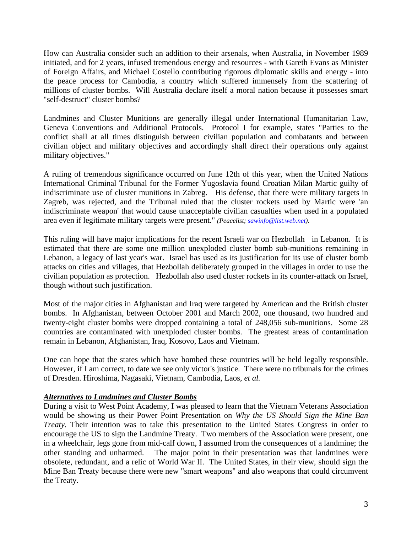How can Australia consider such an addition to their arsenals, when Australia, in November 1989 initiated, and for 2 years, infused tremendous energy and resources - with Gareth Evans as Minister of Foreign Affairs, and Michael Costello contributing rigorous diplomatic skills and energy - into the peace process for Cambodia, a country which suffered immensely from the scattering of millions of cluster bombs. Will Australia declare itself a moral nation because it possesses smart "self-destruct" cluster bombs?

Landmines and Cluster Munitions are generally illegal under International Humanitarian Law, Geneva Conventions and Additional Protocols. Protocol I for example, states "Parties to the conflict shall at all times distinguish between civilian population and combatants and between civilian object and military objectives and accordingly shall direct their operations only against military objectives."

A ruling of tremendous significance occurred on June 12th of this year, when the United Nations International Criminal Tribunal for the Former Yugoslavia found Croatian Milan Martic guilty of indiscriminate use of cluster munitions in Zabreg. His defense, that there were military targets in Zagreb, was rejected, and the Tribunal ruled that the cluster rockets used by Martic were 'an indiscriminate weapon' that would cause unacceptable civilian casualties when used in a populated area even if legitimate military targets were present." *(Peacelist; sawinfo@list.web.net).* 

This ruling will have major implications for the recent Israeli war on Hezbollah in Lebanon. It is estimated that there are some one million unexploded cluster bomb sub-munitions remaining in Lebanon, a legacy of last year's war. Israel has used as its justification for its use of cluster bomb attacks on cities and villages, that Hezbollah deliberately grouped in the villages in order to use the civilian population as protection. Hezbollah also used cluster rockets in its counter-attack on Israel, though without such justification.

Most of the major cities in Afghanistan and Iraq were targeted by American and the British cluster bombs. In Afghanistan, between October 2001 and March 2002, one thousand, two hundred and twenty-eight cluster bombs were dropped containing a total of 248,056 sub-munitions. Some 28 countries are contaminated with unexploded cluster bombs. The greatest areas of contamination remain in Lebanon, Afghanistan, Iraq, Kosovo, Laos and Vietnam.

One can hope that the states which have bombed these countries will be held legally responsible. However, if I am correct, to date we see only victor's justice. There were no tribunals for the crimes of Dresden. Hiroshima, Nagasaki, Vietnam, Cambodia, Laos, *et al.*

## *Alternatives to Landmines and Cluster Bombs*

During a visit to West Point Academy, I was pleased to learn that the Vietnam Veterans Association would be showing us their Power Point Presentation on *Why the US Should Sign the Mine Ban Treaty.* Their intention was to take this presentation to the United States Congress in order to encourage the US to sign the Landmine Treaty. Two members of the Association were present, one in a wheelchair, legs gone from mid-calf down, I assumed from the consequences of a landmine; the other standing and unharmed. The major point in their presentation was that landmines were obsolete, redundant, and a relic of World War II. The United States, in their view, should sign the Mine Ban Treaty because there were new "smart weapons" and also weapons that could circumvent the Treaty.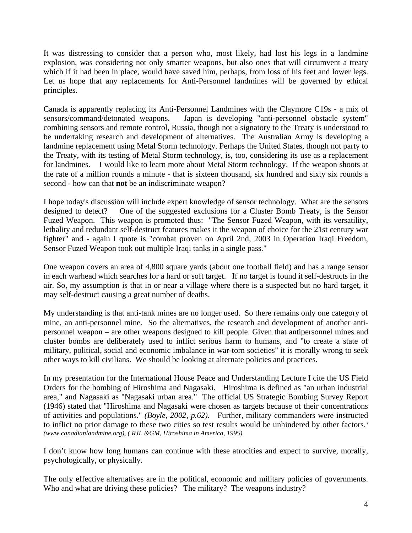It was distressing to consider that a person who, most likely, had lost his legs in a landmine explosion, was considering not only smarter weapons, but also ones that will circumvent a treaty which if it had been in place, would have saved him, perhaps, from loss of his feet and lower legs. Let us hope that any replacements for Anti-Personnel landmines will be governed by ethical principles.

Canada is apparently replacing its Anti-Personnel Landmines with the Claymore C19s - a mix of sensors/command/detonated weapons. Japan is developing "anti-personnel obstacle system" combining sensors and remote control, Russia, though not a signatory to the Treaty is understood to be undertaking research and development of alternatives. The Australian Army is developing a landmine replacement using Metal Storm technology. Perhaps the United States, though not party to the Treaty, with its testing of Metal Storm technology, is, too, considering its use as a replacement for landmines. I would like to learn more about Metal Storm technology. If the weapon shoots at the rate of a million rounds a minute - that is sixteen thousand, six hundred and sixty six rounds a second - how can that **not** be an indiscriminate weapon?

I hope today's discussion will include expert knowledge of sensor technology. What are the sensors designed to detect? One of the suggested exclusions for a Cluster Bomb Treaty, is the Sensor Fuzed Weapon. This weapon is promoted thus: "The Sensor Fuzed Weapon, with its versatility, lethality and redundant self-destruct features makes it the weapon of choice for the 21st century war fighter" and - again I quote is "combat proven on April 2nd, 2003 in Operation Iraqi Freedom, Sensor Fuzed Weapon took out multiple Iraqi tanks in a single pass."

One weapon covers an area of 4,800 square yards (about one football field) and has a range sensor in each warhead which searches for a hard or soft target. If no target is found it self-destructs in the air. So, my assumption is that in or near a village where there is a suspected but no hard target, it may self-destruct causing a great number of deaths.

My understanding is that anti-tank mines are no longer used. So there remains only one category of mine, an anti-personnel mine. So the alternatives, the research and development of another antipersonnel weapon – are other weapons designed to kill people. Given that antipersonnel mines and cluster bombs are deliberately used to inflict serious harm to humans, and "to create a state of military, political, social and economic imbalance in war-torn societies" it is morally wrong to seek other ways to kill civilians. We should be looking at alternate policies and practices.

In my presentation for the International House Peace and Understanding Lecture I cite the US Field Orders for the bombing of Hiroshima and Nagasaki. Hiroshima is defined as "an urban industrial area," and Nagasaki as "Nagasaki urban area." The official US Strategic Bombing Survey Report (1946) stated that "Hiroshima and Nagasaki were chosen as targets because of their concentrations of activities and populations." *(Boyle, 2002, p.62).* Further, military commanders were instructed to inflict no prior damage to these two cities so test results would be unhindered by other factors." *(www.canadianlandmine.org), ( RJL &GM, Hiroshima in America, 1995).* 

I don't know how long humans can continue with these atrocities and expect to survive, morally, psychologically, or physically.

The only effective alternatives are in the political, economic and military policies of governments. Who and what are driving these policies? The military? The weapons industry?